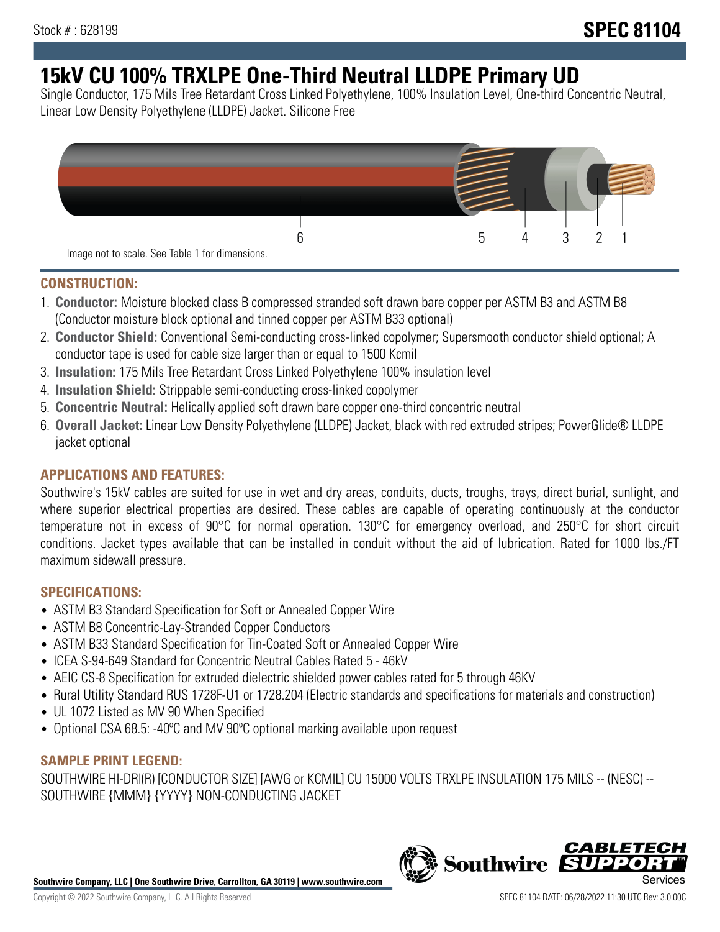# **15kV CU 100% TRXLPE One-Third Neutral LLDPE Primary UD**

Single Conductor, 175 Mils Tree Retardant Cross Linked Polyethylene, 100% Insulation Level, One-third Concentric Neutral, Linear Low Density Polyethylene (LLDPE) Jacket. Silicone Free



### **CONSTRUCTION:**

- 1. **Conductor:** Moisture blocked class B compressed stranded soft drawn bare copper per ASTM B3 and ASTM B8 (Conductor moisture block optional and tinned copper per ASTM B33 optional)
- 2. **Conductor Shield:** Conventional Semi-conducting cross-linked copolymer; Supersmooth conductor shield optional; A conductor tape is used for cable size larger than or equal to 1500 Kcmil
- 3. **Insulation:** 175 Mils Tree Retardant Cross Linked Polyethylene 100% insulation level
- 4. **Insulation Shield:** Strippable semi-conducting cross-linked copolymer
- 5. **Concentric Neutral:** Helically applied soft drawn bare copper one-third concentric neutral
- 6. **Overall Jacket:** Linear Low Density Polyethylene (LLDPE) Jacket, black with red extruded stripes; PowerGlide® LLDPE jacket optional

## **APPLICATIONS AND FEATURES:**

Southwire's 15kV cables are suited for use in wet and dry areas, conduits, ducts, troughs, trays, direct burial, sunlight, and where superior electrical properties are desired. These cables are capable of operating continuously at the conductor temperature not in excess of 90°C for normal operation. 130°C for emergency overload, and 250°C for short circuit conditions. Jacket types available that can be installed in conduit without the aid of lubrication. Rated for 1000 lbs./FT maximum sidewall pressure.

## **SPECIFICATIONS:**

- ASTM B3 Standard Specification for Soft or Annealed Copper Wire
- ASTM B8 Concentric-Lay-Stranded Copper Conductors
- ASTM B33 Standard Specification for Tin-Coated Soft or Annealed Copper Wire
- ICEA S-94-649 Standard for Concentric Neutral Cables Rated 5 46kV
- AEIC CS-8 Specification for extruded dielectric shielded power cables rated for 5 through 46KV
- Rural Utility Standard RUS 1728F-U1 or 1728.204 (Electric standards and specifications for materials and construction)
- UL 1072 Listed as MV 90 When Specified
- Optional CSA 68.5: -40ºC and MV 90ºC optional marking available upon request

## **SAMPLE PRINT LEGEND:**

SOUTHWIRE HI-DRI(R) [CONDUCTOR SIZE] [AWG or KCMIL] CU 15000 VOLTS TRXLPE INSULATION 175 MILS -- (NESC) -- SOUTHWIRE {MMM} {YYYY} NON-CONDUCTING JACKET

**Southwire Company, LLC | One Southwire Drive, Carrollton, GA 30119 | www.southwire.com**

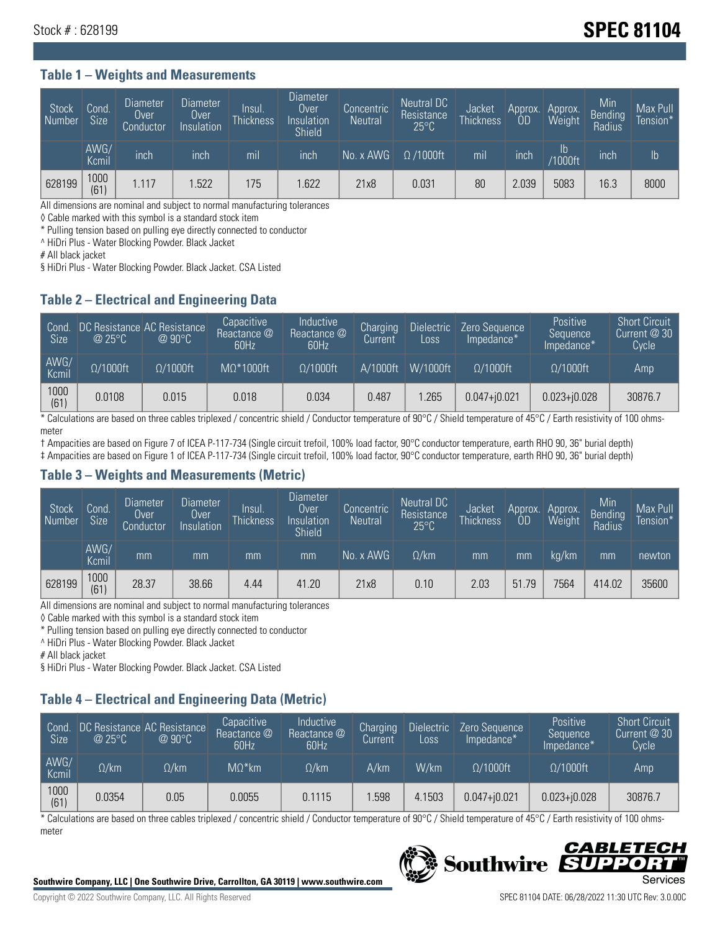# Stock # : 628199 **SPEC 81104**

#### **Table 1 – Weights and Measurements**

| Stock<br>  Number | Cond<br><b>Size</b> | <b>Diameter</b><br>Over<br>Conductor | <b>Diameter</b><br>Over<br>Insulation | Insul.<br><b>Thickness</b> | Diameter<br>Over<br>Insulation<br><b>Shield</b> | Concentric<br><b>Neutral</b> | Neutral DC<br>Resistance<br>$25^{\circ}$ C | Jacket<br><b>Thickness</b> | Approx.<br>OD | Approx.<br>Weight    | Min<br><b>Bending</b><br>Radius | Max Pull<br>Tension* <sup>1</sup> |
|-------------------|---------------------|--------------------------------------|---------------------------------------|----------------------------|-------------------------------------------------|------------------------------|--------------------------------------------|----------------------------|---------------|----------------------|---------------------------------|-----------------------------------|
|                   | AWG/<br>Kcmil       | inch                                 | inch                                  | mil                        | ınch                                            | No. x AWG                    | $\Omega$ /1000ft                           | mil                        | inch          | Ib<br><b>Y1000ft</b> | inch                            | $\mathsf{lb}$                     |
| 628199            | 1000<br>(61)        | 1.117                                | .522                                  | 175                        | .622                                            | 21x8                         | 0.031                                      | 80                         | 2.039         | 5083                 | 16.3                            | 8000                              |

All dimensions are nominal and subject to normal manufacturing tolerances

◊ Cable marked with this symbol is a standard stock item

\* Pulling tension based on pulling eye directly connected to conductor

^ HiDri Plus - Water Blocking Powder. Black Jacket

# All black jacket

§ HiDri Plus - Water Blocking Powder. Black Jacket. CSA Listed

### **Table 2 – Electrical and Engineering Data**

| Cond.<br>Size | $\omega$ 25°C    | DC Resistance AC Resistance<br>$@90^{\circ}C$ | Capacitive<br>Reactance @<br>60Hz | Inductive<br>Reactance @<br>60Hz | Charging<br>Current | <b>Dielectric</b><br>Loss | Zero Sequence<br>Impedance* | Positive<br>Sequence<br>Impedance* | <b>Short Circuit</b><br>Current $@30$<br>Cycle |
|---------------|------------------|-----------------------------------------------|-----------------------------------|----------------------------------|---------------------|---------------------------|-----------------------------|------------------------------------|------------------------------------------------|
| AWG/<br>Kcmil | $\Omega/1000$ ft | $\Omega/1000$ ft                              | $M\Omega^*1000$ ft                | $\Omega/1000$ ft                 | A/1000ft            | W/1000ft                  | $\Omega$ /1000ft            | $\Omega$ /1000ft                   | Amp                                            |
| 1000<br>(61)  | 0.0108           | 0.015                                         | 0.018                             | 0.034                            | 0.487               | .265                      | $0.047 + j0.021$            | $0.023 + 0.028$                    | 30876.7                                        |

\* Calculations are based on three cables triplexed / concentric shield / Conductor temperature of 90°C / Shield temperature of 45°C / Earth resistivity of 100 ohmsmeter

† Ampacities are based on Figure 7 of ICEA P-117-734 (Single circuit trefoil, 100% load factor, 90°C conductor temperature, earth RHO 90, 36" burial depth)

‡ Ampacities are based on Figure 1 of ICEA P-117-734 (Single circuit trefoil, 100% load factor, 90°C conductor temperature, earth RHO 90, 36" burial depth)

#### **Table 3 – Weights and Measurements (Metric)**

| Stock<br>Number | Cond.<br><b>Size</b> | <b>Diameter</b><br>Over<br>Conductor | Diameter<br>Over<br>Insulation | lnsul.<br><b>Thickness</b> | <b>Diameter</b><br>Over<br>Insulation<br><b>Shield</b> | Concentric<br><b>Neutral</b> | <b>Neutral DC</b><br>Resistance<br>$25^{\circ}$ C | Jacket<br><b>Thickness</b> | Approx.<br>0D | Approx.<br>Weight | Min<br><b>Bending</b><br>Radius | Max Pull<br>Tension* |
|-----------------|----------------------|--------------------------------------|--------------------------------|----------------------------|--------------------------------------------------------|------------------------------|---------------------------------------------------|----------------------------|---------------|-------------------|---------------------------------|----------------------|
|                 | AWG/<br>Kcmil        | mm                                   | mm                             | mm                         | mm                                                     | No. x AWG                    | $\Omega$ /km                                      | mm                         | mm            | ka/km             | mm                              | newton               |
| 628199          | 1000<br>(61)         | 28.37                                | 38.66                          | 4.44                       | 41.20                                                  | 21x8                         | 0.10                                              | 2.03                       | 51.79         | 7564              | 414.02                          | 35600                |

All dimensions are nominal and subject to normal manufacturing tolerances

◊ Cable marked with this symbol is a standard stock item

\* Pulling tension based on pulling eye directly connected to conductor

^ HiDri Plus - Water Blocking Powder. Black Jacket

# All black jacket

§ HiDri Plus - Water Blocking Powder. Black Jacket. CSA Listed

# **Table 4 – Electrical and Engineering Data (Metric)**

| Cond<br><b>Size</b> | @25°C        | DC Resistance AC Resistance<br>$@90^{\circ}C$ | Capacitive<br>Reactance @<br>60Hz | <b>Inductive</b><br>Reactance @<br>60Hz | Charging<br>Current | <b>Dielectric</b><br>Loss | Zero Sequence<br>Impedance* | <b>Positive</b><br>Sequence<br>Impedance* | <b>Short Circuit</b><br>Current @ 30<br><b>Cycle</b> |
|---------------------|--------------|-----------------------------------------------|-----------------------------------|-----------------------------------------|---------------------|---------------------------|-----------------------------|-------------------------------------------|------------------------------------------------------|
| AWG/<br>Kcmil       | $\Omega$ /km | $\Omega / \mathrm{km}$                        | $M\Omega^*$ km                    | $\Omega$ /km                            | A/km                | W/km                      | $O/1000$ ft                 | $\Omega/1000$ ft                          | Amp                                                  |
| 1000<br>(61)        | 0.0354       | 0.05                                          | 0.0055                            | 0.1115                                  | .598                | 4.1503                    | $0.047 + 0.021$             | $0.023 + j0.028$                          | 30876.7                                              |

\* Calculations are based on three cables triplexed / concentric shield / Conductor temperature of 90°C / Shield temperature of 45°C / Earth resistivity of 100 ohmsmeter



#### CABLETE **Southwire** DD